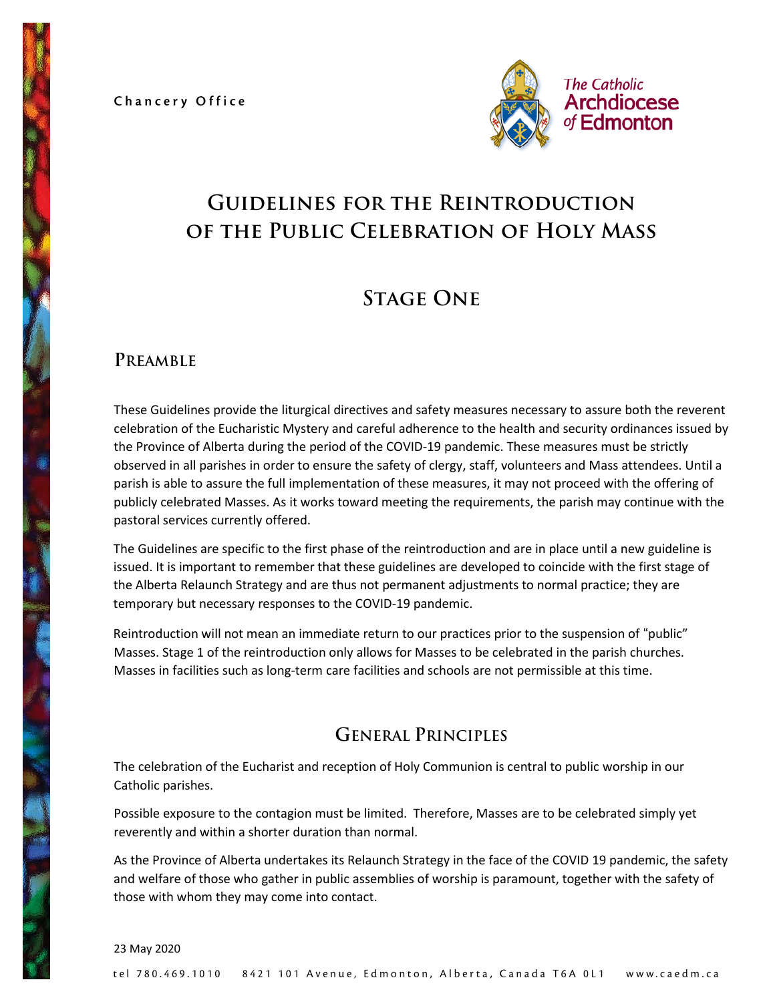Chancery Office



# **Guidelines for the Reintroduction of the Public Celebration of Holy Mass**

# **Stage One**

## **PREAMBLE**

These Guidelines provide the liturgical directives and safety measures necessary to assure both the reverent celebration of the Eucharistic Mystery and careful adherence to the health and security ordinances issued by the Province of Alberta during the period of the COVID-19 pandemic. These measures must be strictly observed in all parishes in order to ensure the safety of clergy, staff, volunteers and Mass attendees. Until a parish is able to assure the full implementation of these measures, it may not proceed with the offering of publicly celebrated Masses. As it works toward meeting the requirements, the parish may continue with the pastoral services currently offered.

The Guidelines are specific to the first phase of the reintroduction and are in place until a new guideline is issued. It is important to remember that these guidelines are developed to coincide with the first stage of the Alberta Relaunch Strategy and are thus not permanent adjustments to normal practice; they are temporary but necessary responses to the COVID-19 pandemic.

Reintroduction will not mean an immediate return to our practices prior to the suspension of "public" Masses. Stage 1 of the reintroduction only allows for Masses to be celebrated in the parish churches. Masses in facilities such as long-term care facilities and schools are not permissible at this time.

## **GENERAL PRINCIPLES**

The celebration of the Eucharist and reception of Holy Communion is central to public worship in our Catholic parishes.

Possible exposure to the contagion must be limited. Therefore, Masses are to be celebrated simply yet reverently and within a shorter duration than normal.

As the Province of Alberta undertakes its Relaunch Strategy in the face of the COVID 19 pandemic, the safety and welfare of those who gather in public assemblies of worship is paramount, together with the safety of those with whom they may come into contact.

23 May 2020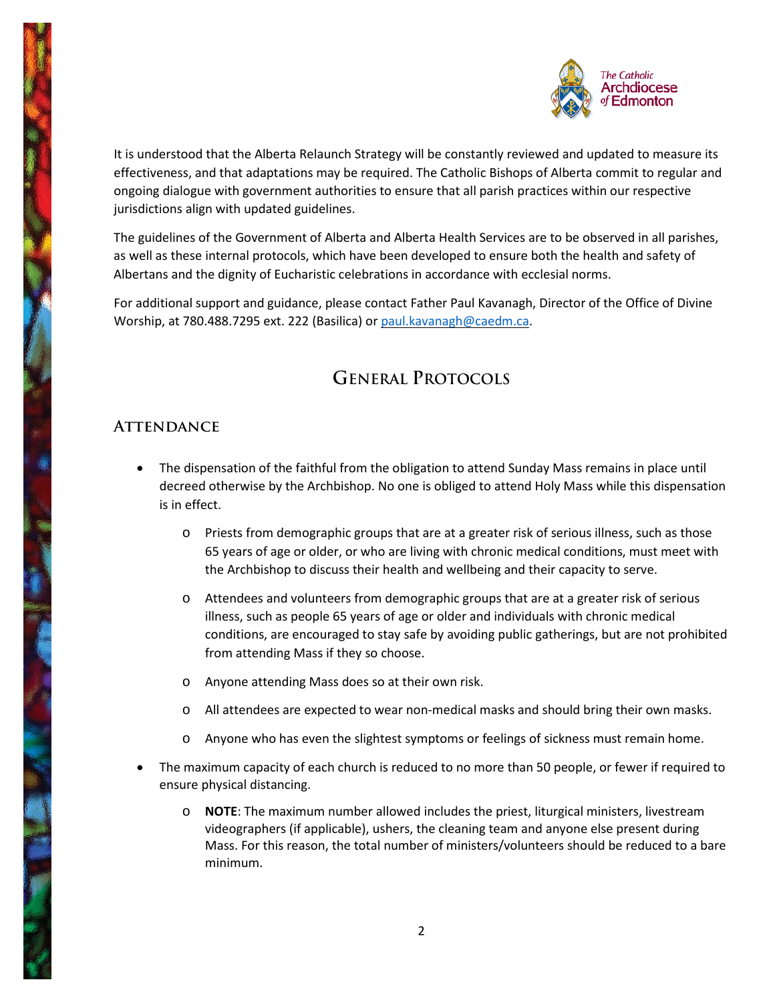

It is understood that the Alberta Relaunch Strategy will be constantly reviewed and updated to measure its effectiveness, and that adaptations may be required. The Catholic Bishops of Alberta commit to regular and ongoing dialogue with government authorities to ensure that all parish practices within our respective jurisdictions align with updated guidelines.

The guidelines of the Government of Alberta and Alberta Health Services are to be observed in all parishes, as well as these internal protocols, which have been developed to ensure both the health and safety of Albertans and the dignity of Eucharistic celebrations in accordance with ecclesial norms.

For additional support and guidance, please contact Father Paul Kavanagh, Director of the Office of Divine Worship, at 780.488.7295 ext. 222 (Basilica) or [paul.kavanagh@caedm.ca.](mailto:paul.kavanagh@caedm.ca)

## **GENERAL PROTOCOLS**

## **Attendance**

- The dispensation of the faithful from the obligation to attend Sunday Mass remains in place until decreed otherwise by the Archbishop. No one is obliged to attend Holy Mass while this dispensation is in effect.
	- o Priests from demographic groups that are at a greater risk of serious illness, such as those 65 years of age or older, or who are living with chronic medical conditions, must meet with the Archbishop to discuss their health and wellbeing and their capacity to serve.
	- o Attendees and volunteers from demographic groups that are at a greater risk of serious illness, such as people 65 years of age or older and individuals with chronic medical conditions, are encouraged to stay safe by avoiding public gatherings, but are not prohibited from attending Mass if they so choose.
	- o Anyone attending Mass does so at their own risk.
	- o All attendees are expected to wear non-medical masks and should bring their own masks.
	- o Anyone who has even the slightest symptoms or feelings of sickness must remain home.
- The maximum capacity of each church is reduced to no more than 50 people, or fewer if required to ensure physical distancing.
	- o **NOTE**: The maximum number allowed includes the priest, liturgical ministers, livestream videographers (if applicable), ushers, the cleaning team and anyone else present during Mass. For this reason, the total number of ministers/volunteers should be reduced to a bare minimum.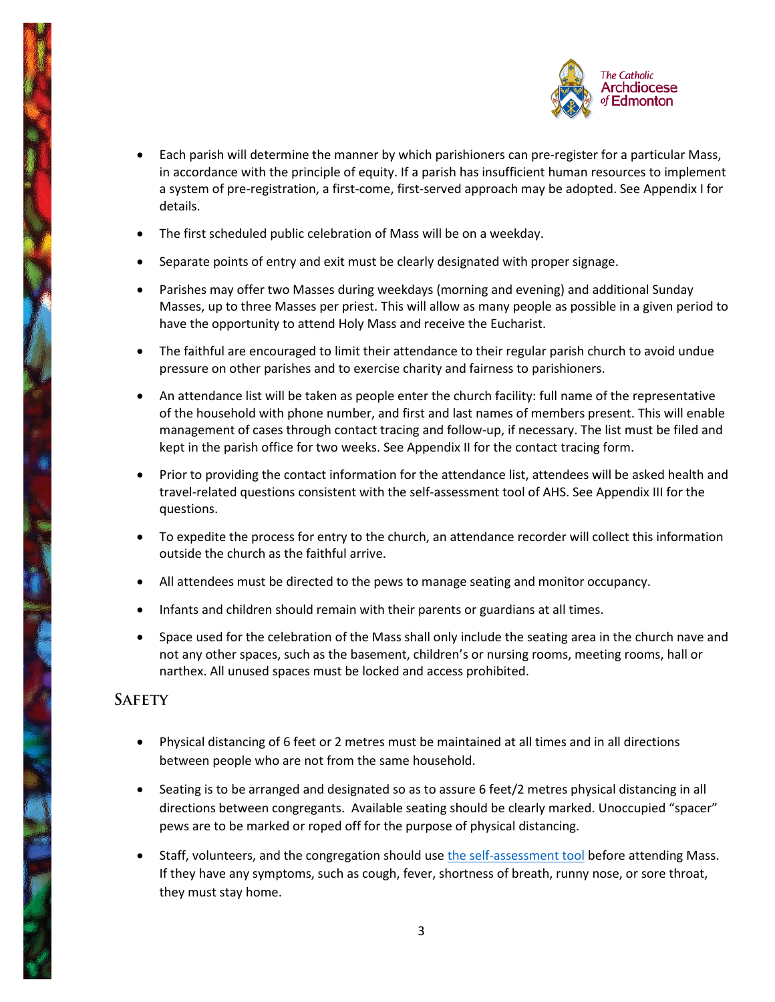

- Each parish will determine the manner by which parishioners can pre-register for a particular Mass, in accordance with the principle of equity. If a parish has insufficient human resources to implement a system of pre-registration, a first-come, first-served approach may be adopted. See Appendix I for details.
- The first scheduled public celebration of Mass will be on a weekday.
- Separate points of entry and exit must be clearly designated with proper signage.
- Parishes may offer two Masses during weekdays (morning and evening) and additional Sunday Masses, up to three Masses per priest. This will allow as many people as possible in a given period to have the opportunity to attend Holy Mass and receive the Eucharist.
- The faithful are encouraged to limit their attendance to their regular parish church to avoid undue pressure on other parishes and to exercise charity and fairness to parishioners.
- An attendance list will be taken as people enter the church facility: full name of the representative of the household with phone number, and first and last names of members present. This will enable management of cases through contact tracing and follow-up, if necessary. The list must be filed and kept in the parish office for two weeks. See Appendix II for the contact tracing form.
- Prior to providing the contact information for the attendance list, attendees will be asked health and travel-related questions consistent with the self-assessment tool of AHS. See Appendix III for the questions.
- To expedite the process for entry to the church, an attendance recorder will collect this information outside the church as the faithful arrive.
- All attendees must be directed to the pews to manage seating and monitor occupancy.
- Infants and children should remain with their parents or guardians at all times.
- Space used for the celebration of the Mass shall only include the seating area in the church nave and not any other spaces, such as the basement, children's or nursing rooms, meeting rooms, hall or narthex. All unused spaces must be locked and access prohibited.

### **Safety**

- Physical distancing of 6 feet or 2 metres must be maintained at all times and in all directions between people who are not from the same household.
- Seating is to be arranged and designated so as to assure 6 feet/2 metres physical distancing in all directions between congregants. Available seating should be clearly marked. Unoccupied "spacer" pews are to be marked or roped off for the purpose of physical distancing.
- Staff, volunteers, and the congregation should us[e the self-assessment tool](https://myhealth.alberta.ca/Journey/COVID-19/Pages/COVID-Self-Assessment.aspx) before attending Mass. If they have any symptoms, such as cough, fever, shortness of breath, runny nose, or sore throat, they must stay home.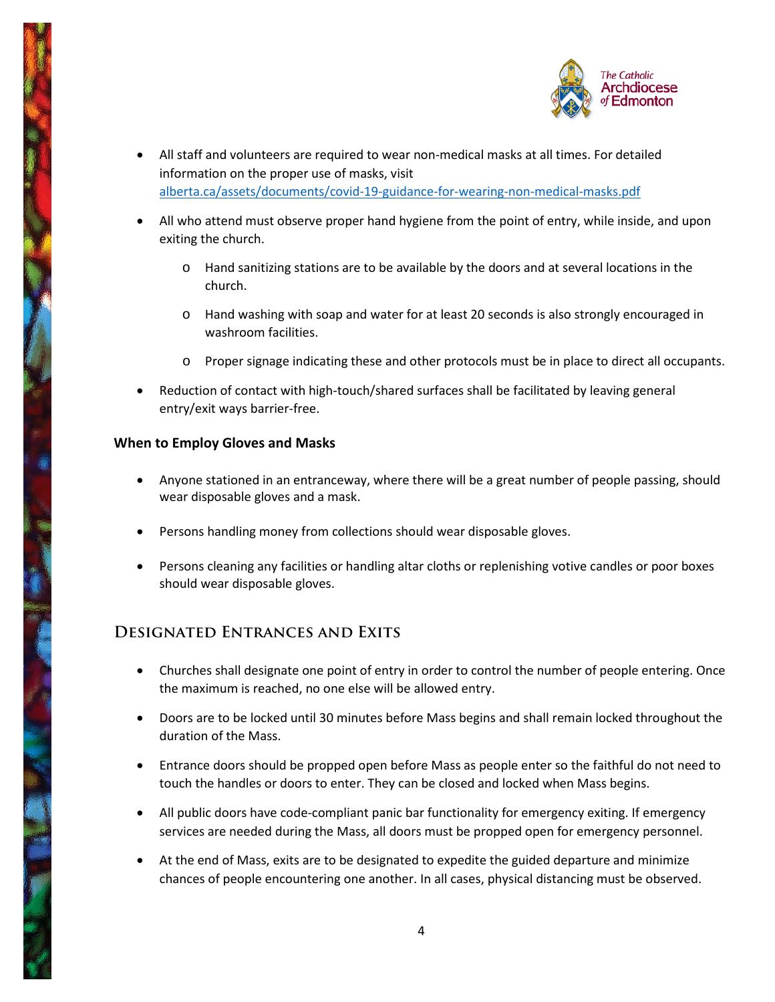

- All staff and volunteers are required to wear non-medical masks at all times. For detailed information on the proper use of masks, visit [alberta.ca/assets/documents/covid-19-guidance-for-wearing-non-medical-masks.pdf](https://www.alberta.ca/assets/documents/covid-19-guidance-for-wearing-non-medical-masks.pdf)
- All who attend must observe proper hand hygiene from the point of entry, while inside, and upon exiting the church.
	- o Hand sanitizing stations are to be available by the doors and at several locations in the church.
	- o Hand washing with soap and water for at least 20 seconds is also strongly encouraged in washroom facilities.
	- o Proper signage indicating these and other protocols must be in place to direct all occupants.
- Reduction of contact with high-touch/shared surfaces shall be facilitated by leaving general entry/exit ways barrier-free.

### **When to Employ Gloves and Masks**

- Anyone stationed in an entranceway, where there will be a great number of people passing, should wear disposable gloves and a mask.
- Persons handling money from collections should wear disposable gloves.
- Persons cleaning any facilities or handling altar cloths or replenishing votive candles or poor boxes should wear disposable gloves.

### **Designated Entrances and Exits**

- Churches shall designate one point of entry in order to control the number of people entering. Once the maximum is reached, no one else will be allowed entry.
- Doors are to be locked until 30 minutes before Mass begins and shall remain locked throughout the duration of the Mass.
- Entrance doors should be propped open before Mass as people enter so the faithful do not need to touch the handles or doors to enter. They can be closed and locked when Mass begins.
- All public doors have code-compliant panic bar functionality for emergency exiting. If emergency services are needed during the Mass, all doors must be propped open for emergency personnel.
- At the end of Mass, exits are to be designated to expedite the guided departure and minimize chances of people encountering one another. In all cases, physical distancing must be observed.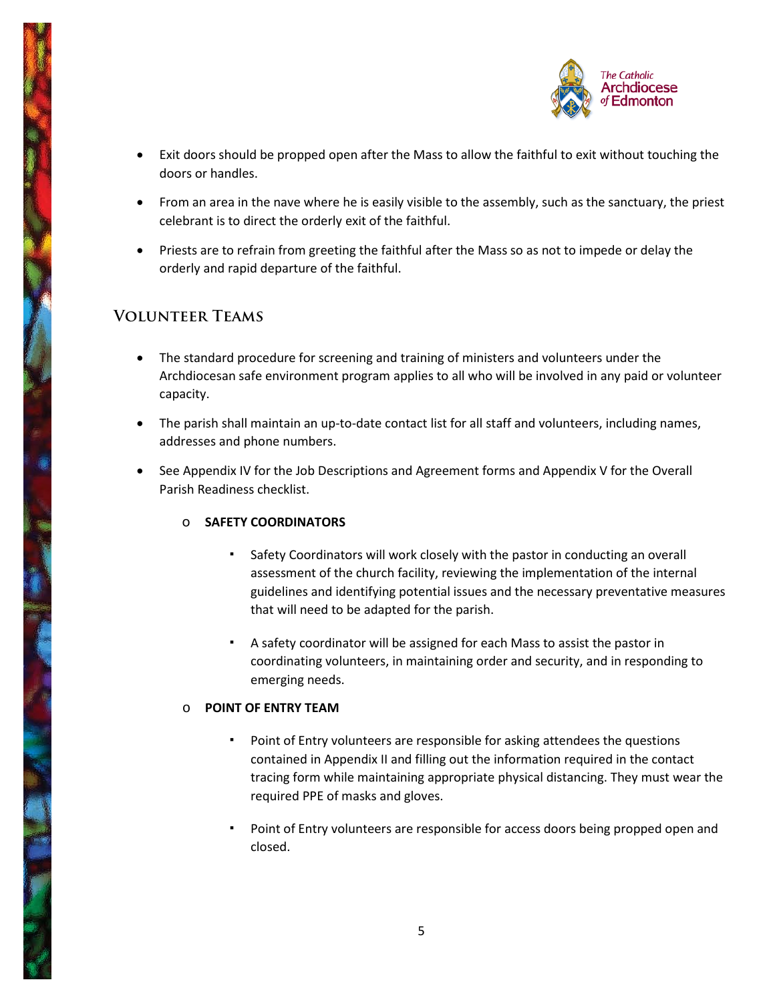

- Exit doors should be propped open after the Mass to allow the faithful to exit without touching the doors or handles.
- From an area in the nave where he is easily visible to the assembly, such as the sanctuary, the priest celebrant is to direct the orderly exit of the faithful.
- Priests are to refrain from greeting the faithful after the Mass so as not to impede or delay the orderly and rapid departure of the faithful.

## **Volunteer Teams**

- The standard procedure for screening and training of ministers and volunteers under the Archdiocesan safe environment program applies to all who will be involved in any paid or volunteer capacity.
- The parish shall maintain an up-to-date contact list for all staff and volunteers, including names, addresses and phone numbers.
- See Appendix IV for the Job Descriptions and Agreement forms and Appendix V for the Overall Parish Readiness checklist.

### o **SAFETY COORDINATORS**

- Safety Coordinators will work closely with the pastor in conducting an overall assessment of the church facility, reviewing the implementation of the internal guidelines and identifying potential issues and the necessary preventative measures that will need to be adapted for the parish.
- A safety coordinator will be assigned for each Mass to assist the pastor in coordinating volunteers, in maintaining order and security, and in responding to emerging needs.

### o **POINT OF ENTRY TEAM**

- Point of Entry volunteers are responsible for asking attendees the questions contained in Appendix II and filling out the information required in the contact tracing form while maintaining appropriate physical distancing. They must wear the required PPE of masks and gloves.
- Point of Entry volunteers are responsible for access doors being propped open and closed.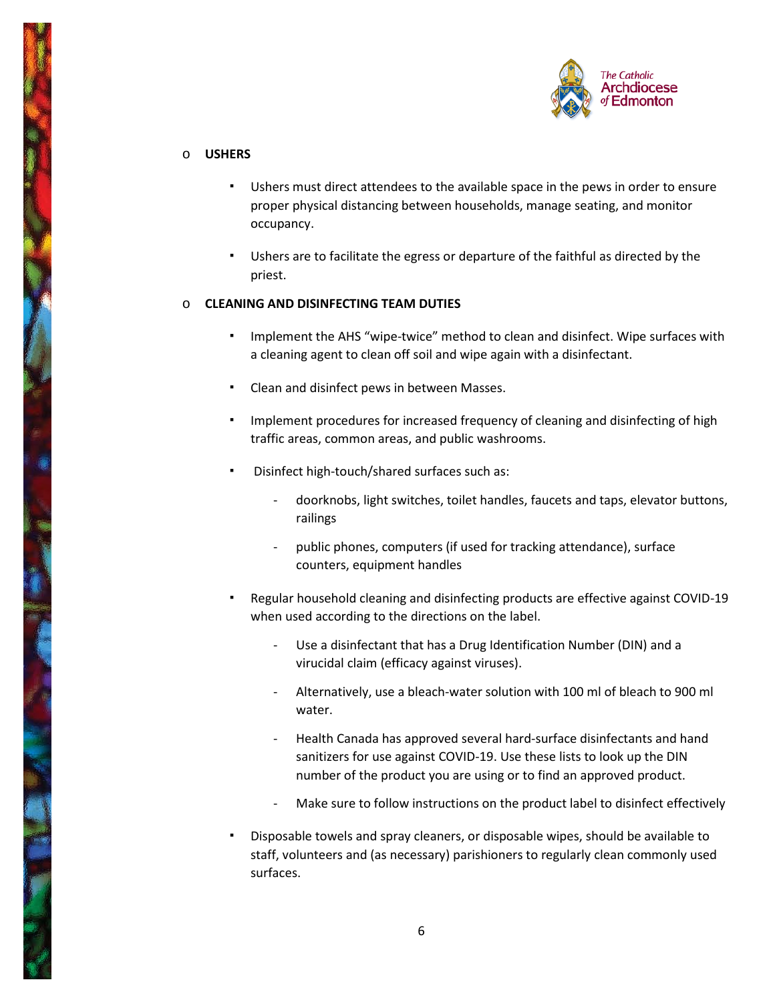

### o **USHERS**

- Ushers must direct attendees to the available space in the pews in order to ensure proper physical distancing between households, manage seating, and monitor occupancy.
- Ushers are to facilitate the egress or departure of the faithful as directed by the priest.

### o **CLEANING AND DISINFECTING TEAM DUTIES**

- Implement the AHS "wipe-twice" method to clean and disinfect. Wipe surfaces with a cleaning agent to clean off soil and wipe again with a disinfectant.
- Clean and disinfect pews in between Masses.
- Implement procedures for increased frequency of cleaning and disinfecting of high traffic areas, common areas, and public washrooms.
- Disinfect high-touch/shared surfaces such as:
	- doorknobs, light switches, toilet handles, faucets and taps, elevator buttons, railings
	- public phones, computers (if used for tracking attendance), surface counters, equipment handles
- Regular household cleaning and disinfecting products are effective against COVID-19 when used according to the directions on the label.
	- Use a disinfectant that has a Drug Identification Number (DIN) and a virucidal claim (efficacy against viruses).
	- Alternatively, use a bleach-water solution with 100 ml of bleach to 900 ml water.
	- Health Canada has approved several hard-surface disinfectants and hand sanitizers for use against COVID-19. Use these lists to look up the DIN number of the product you are using or to find an approved product.
	- Make sure to follow instructions on the product label to disinfect effectively
- Disposable towels and spray cleaners, or disposable wipes, should be available to staff, volunteers and (as necessary) parishioners to regularly clean commonly used surfaces.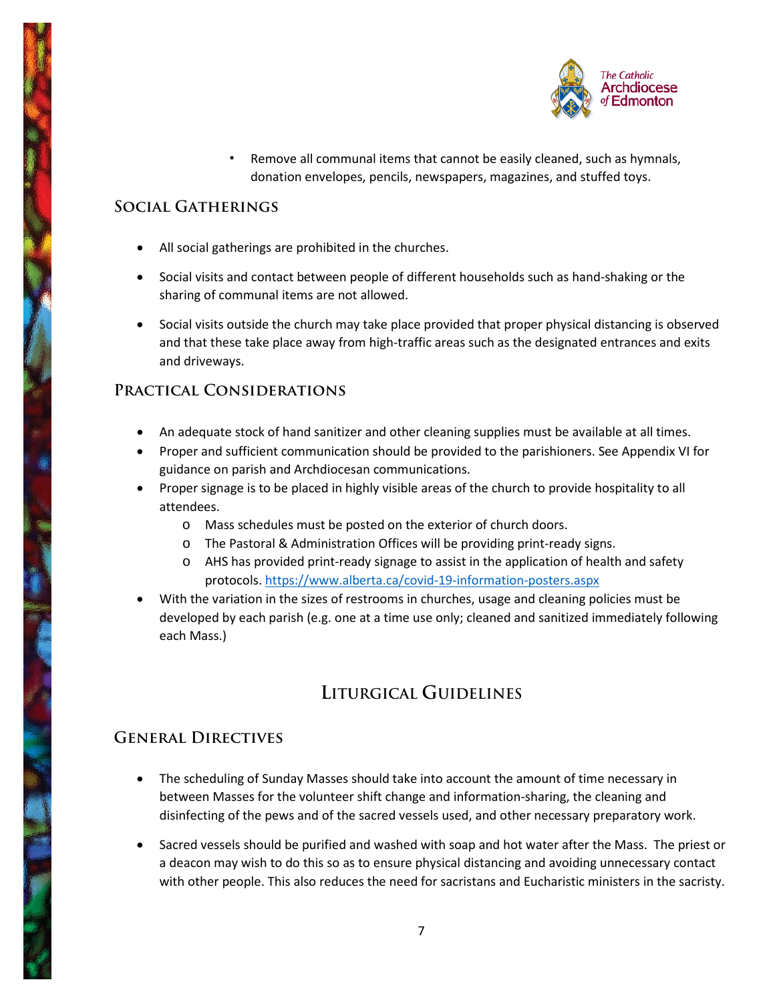

Remove all communal items that cannot be easily cleaned, such as hymnals, donation envelopes, pencils, newspapers, magazines, and stuffed toys.

## **Social Gatherings**

- All social gatherings are prohibited in the churches.
- Social visits and contact between people of different households such as hand-shaking or the sharing of communal items are not allowed.
- Social visits outside the church may take place provided that proper physical distancing is observed and that these take place away from high-traffic areas such as the designated entrances and exits and driveways.

## **Practical Considerations**

- An adequate stock of hand sanitizer and other cleaning supplies must be available at all times.
- Proper and sufficient communication should be provided to the parishioners. See Appendix VI for guidance on parish and Archdiocesan communications.
- Proper signage is to be placed in highly visible areas of the church to provide hospitality to all attendees.
	- o Mass schedules must be posted on the exterior of church doors.
	- o The Pastoral & Administration Offices will be providing print-ready signs.
	- o AHS has provided print-ready signage to assist in the application of health and safety protocols[. https://www.alberta.ca/covid-19-information-posters.aspx](https://www.alberta.ca/covid-19-information-posters.aspx)
- With the variation in the sizes of restrooms in churches, usage and cleaning policies must be developed by each parish (e.g. one at a time use only; cleaned and sanitized immediately following each Mass.)

## **LITURGICAL GUIDELINES**

## **General Directives**

- The scheduling of Sunday Masses should take into account the amount of time necessary in between Masses for the volunteer shift change and information-sharing, the cleaning and disinfecting of the pews and of the sacred vessels used, and other necessary preparatory work.
- Sacred vessels should be purified and washed with soap and hot water after the Mass. The priest or a deacon may wish to do this so as to ensure physical distancing and avoiding unnecessary contact with other people. This also reduces the need for sacristans and Eucharistic ministers in the sacristy.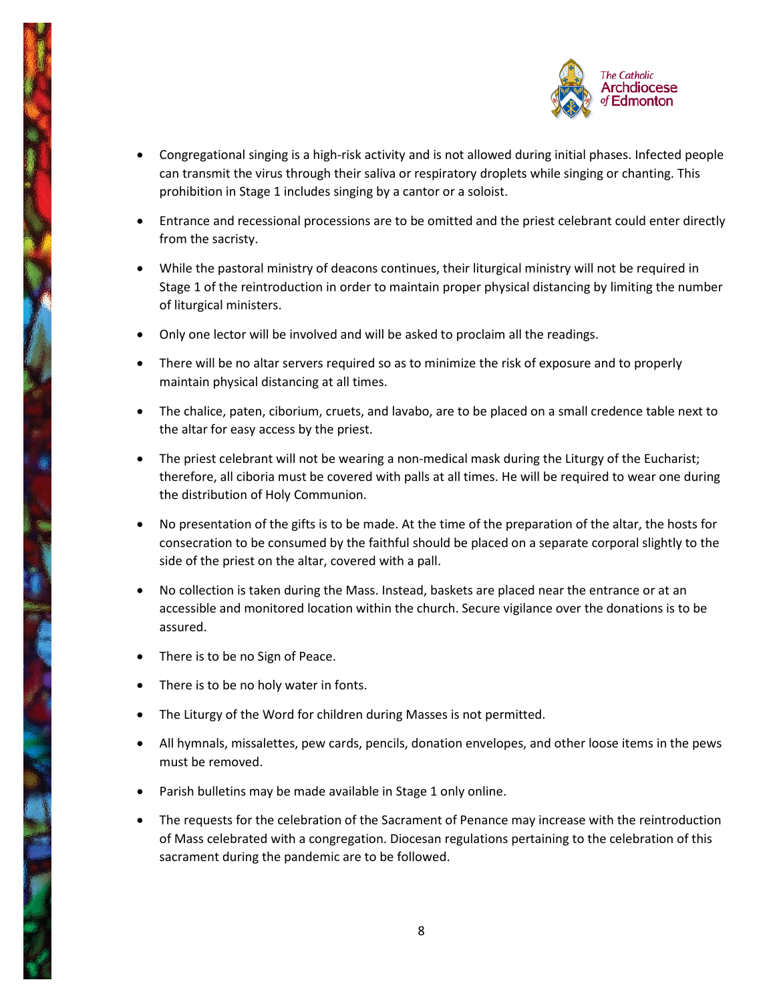

- Congregational singing is a high-risk activity and is not allowed during initial phases. Infected people can transmit the virus through their saliva or respiratory droplets while singing or chanting. This prohibition in Stage 1 includes singing by a cantor or a soloist.
- Entrance and recessional processions are to be omitted and the priest celebrant could enter directly from the sacristy.
- While the pastoral ministry of deacons continues, their liturgical ministry will not be required in Stage 1 of the reintroduction in order to maintain proper physical distancing by limiting the number of liturgical ministers.
- Only one lector will be involved and will be asked to proclaim all the readings.
- There will be no altar servers required so as to minimize the risk of exposure and to properly maintain physical distancing at all times.
- The chalice, paten, ciborium, cruets, and lavabo, are to be placed on a small credence table next to the altar for easy access by the priest.
- The priest celebrant will not be wearing a non-medical mask during the Liturgy of the Eucharist; therefore, all ciboria must be covered with palls at all times. He will be required to wear one during the distribution of Holy Communion.
- No presentation of the gifts is to be made. At the time of the preparation of the altar, the hosts for consecration to be consumed by the faithful should be placed on a separate corporal slightly to the side of the priest on the altar, covered with a pall.
- No collection is taken during the Mass. Instead, baskets are placed near the entrance or at an accessible and monitored location within the church. Secure vigilance over the donations is to be assured.
- There is to be no Sign of Peace.
- There is to be no holy water in fonts.
- The Liturgy of the Word for children during Masses is not permitted.
- All hymnals, missalettes, pew cards, pencils, donation envelopes, and other loose items in the pews must be removed.
- Parish bulletins may be made available in Stage 1 only online.
- The requests for the celebration of the Sacrament of Penance may increase with the reintroduction of Mass celebrated with a congregation. Diocesan regulations pertaining to the celebration of this sacrament during the pandemic are to be followed.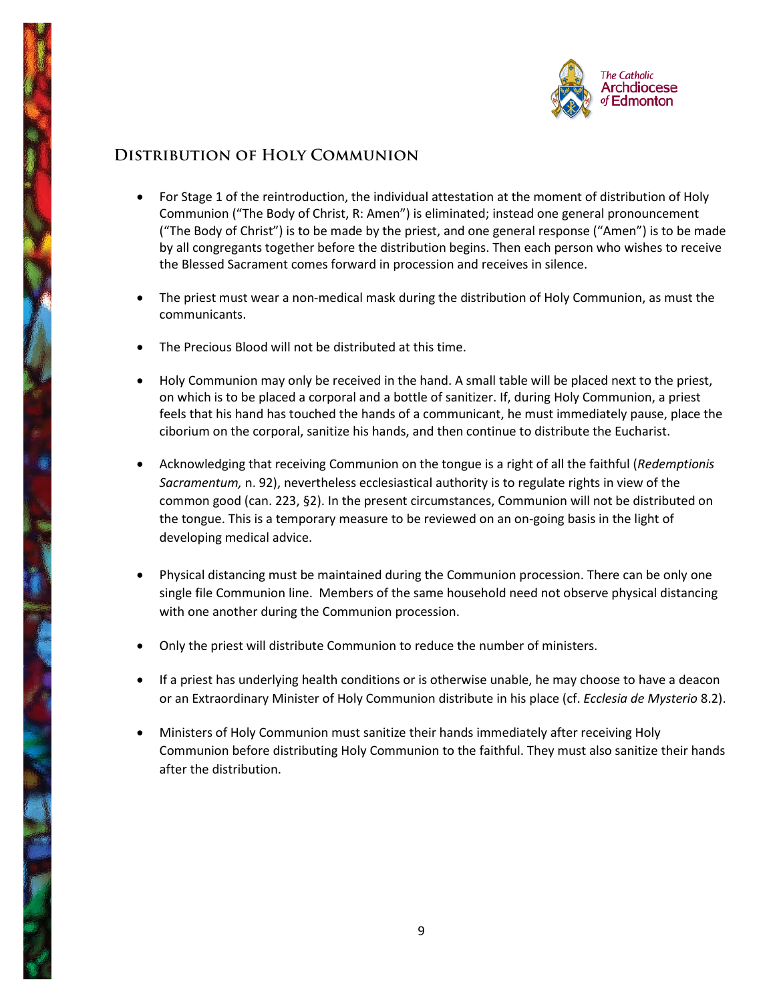

## **Distribution of Holy Communion**

- For Stage 1 of the reintroduction, the individual attestation at the moment of distribution of Holy Communion ("The Body of Christ, R: Amen") is eliminated; instead one general pronouncement ("The Body of Christ") is to be made by the priest, and one general response ("Amen") is to be made by all congregants together before the distribution begins. Then each person who wishes to receive the Blessed Sacrament comes forward in procession and receives in silence.
- The priest must wear a non-medical mask during the distribution of Holy Communion, as must the communicants.
- The Precious Blood will not be distributed at this time.
- Holy Communion may only be received in the hand. A small table will be placed next to the priest, on which is to be placed a corporal and a bottle of sanitizer. If, during Holy Communion, a priest feels that his hand has touched the hands of a communicant, he must immediately pause, place the ciborium on the corporal, sanitize his hands, and then continue to distribute the Eucharist.
- Acknowledging that receiving Communion on the tongue is a right of all the faithful (*Redemptionis Sacramentum,* n. 92), nevertheless ecclesiastical authority is to regulate rights in view of the common good (can. 223, §2). In the present circumstances, Communion will not be distributed on the tongue. This is a temporary measure to be reviewed on an on-going basis in the light of developing medical advice.
- Physical distancing must be maintained during the Communion procession. There can be only one single file Communion line. Members of the same household need not observe physical distancing with one another during the Communion procession.
- Only the priest will distribute Communion to reduce the number of ministers.
- If a priest has underlying health conditions or is otherwise unable, he may choose to have a deacon or an Extraordinary Minister of Holy Communion distribute in his place (cf. *Ecclesia de Mysterio* 8.2).
- Ministers of Holy Communion must sanitize their hands immediately after receiving Holy Communion before distributing Holy Communion to the faithful. They must also sanitize their hands after the distribution.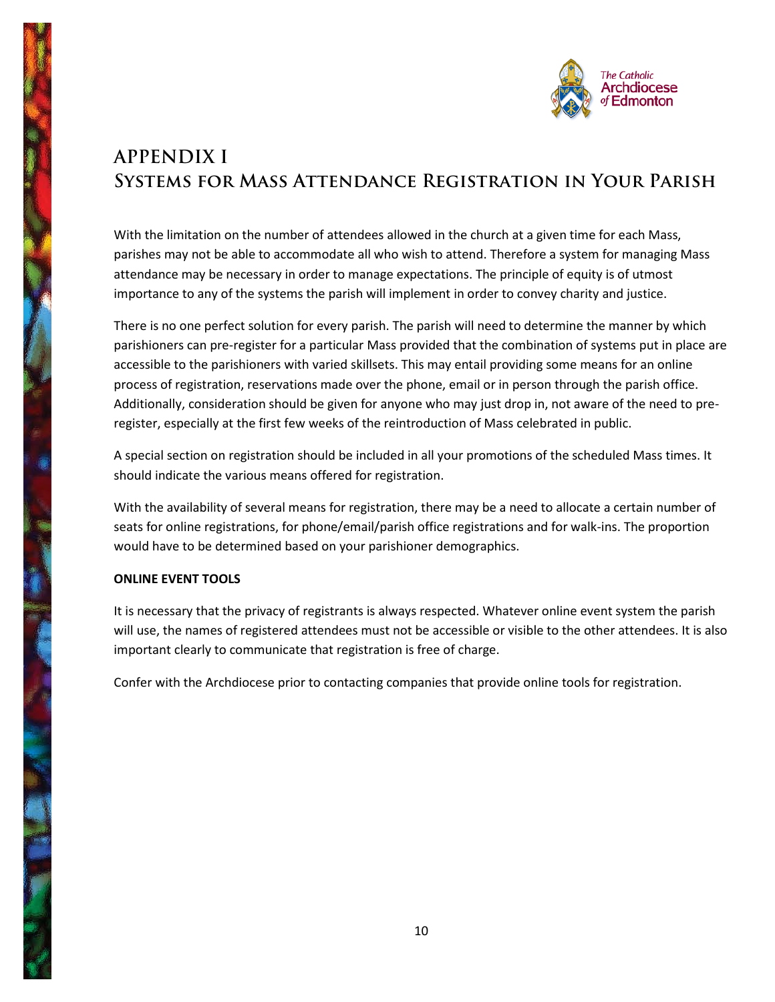

# **APPENDIX I Systems for Mass Attendance Registration in Your Parish**

With the limitation on the number of attendees allowed in the church at a given time for each Mass, parishes may not be able to accommodate all who wish to attend. Therefore a system for managing Mass attendance may be necessary in order to manage expectations. The principle of equity is of utmost importance to any of the systems the parish will implement in order to convey charity and justice.

There is no one perfect solution for every parish. The parish will need to determine the manner by which parishioners can pre-register for a particular Mass provided that the combination of systems put in place are accessible to the parishioners with varied skillsets. This may entail providing some means for an online process of registration, reservations made over the phone, email or in person through the parish office. Additionally, consideration should be given for anyone who may just drop in, not aware of the need to preregister, especially at the first few weeks of the reintroduction of Mass celebrated in public.

A special section on registration should be included in all your promotions of the scheduled Mass times. It should indicate the various means offered for registration.

With the availability of several means for registration, there may be a need to allocate a certain number of seats for online registrations, for phone/email/parish office registrations and for walk-ins. The proportion would have to be determined based on your parishioner demographics.

### **ONLINE EVENT TOOLS**

It is necessary that the privacy of registrants is always respected. Whatever online event system the parish will use, the names of registered attendees must not be accessible or visible to the other attendees. It is also important clearly to communicate that registration is free of charge.

Confer with the Archdiocese prior to contacting companies that provide online tools for registration.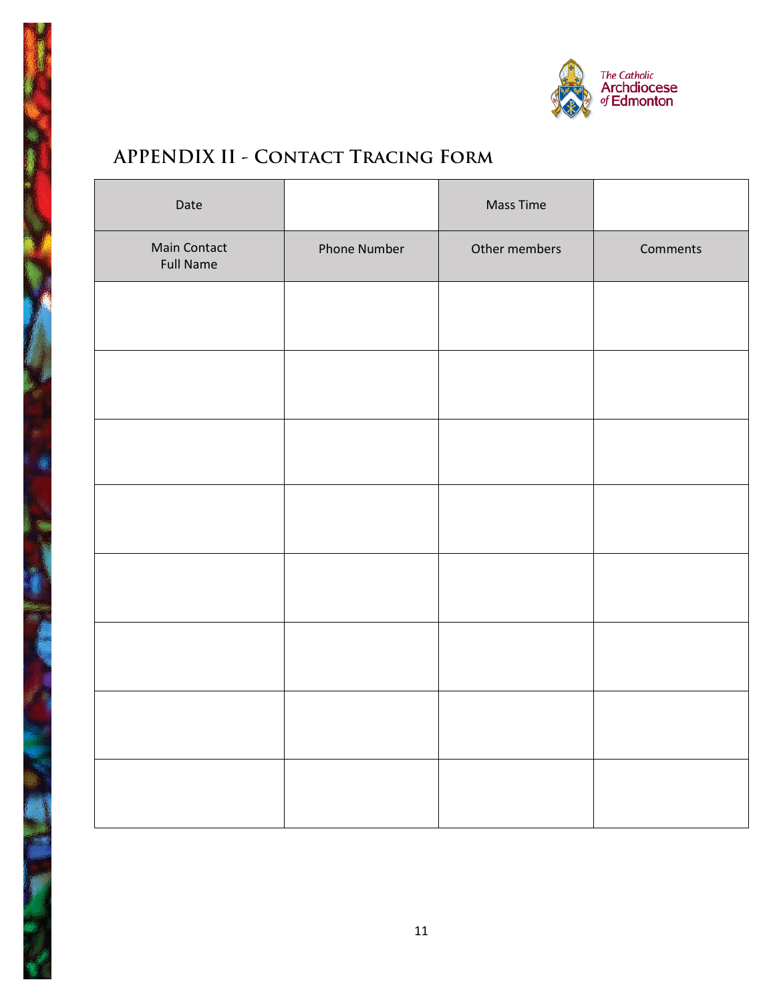

# **APPENDIX II - Contact Tracing Form**

| Date                                    |              | Mass Time     |          |
|-----------------------------------------|--------------|---------------|----------|
| <b>Main Contact</b><br><b>Full Name</b> | Phone Number | Other members | Comments |
|                                         |              |               |          |
|                                         |              |               |          |
|                                         |              |               |          |
|                                         |              |               |          |
|                                         |              |               |          |
|                                         |              |               |          |
|                                         |              |               |          |
|                                         |              |               |          |
|                                         |              |               |          |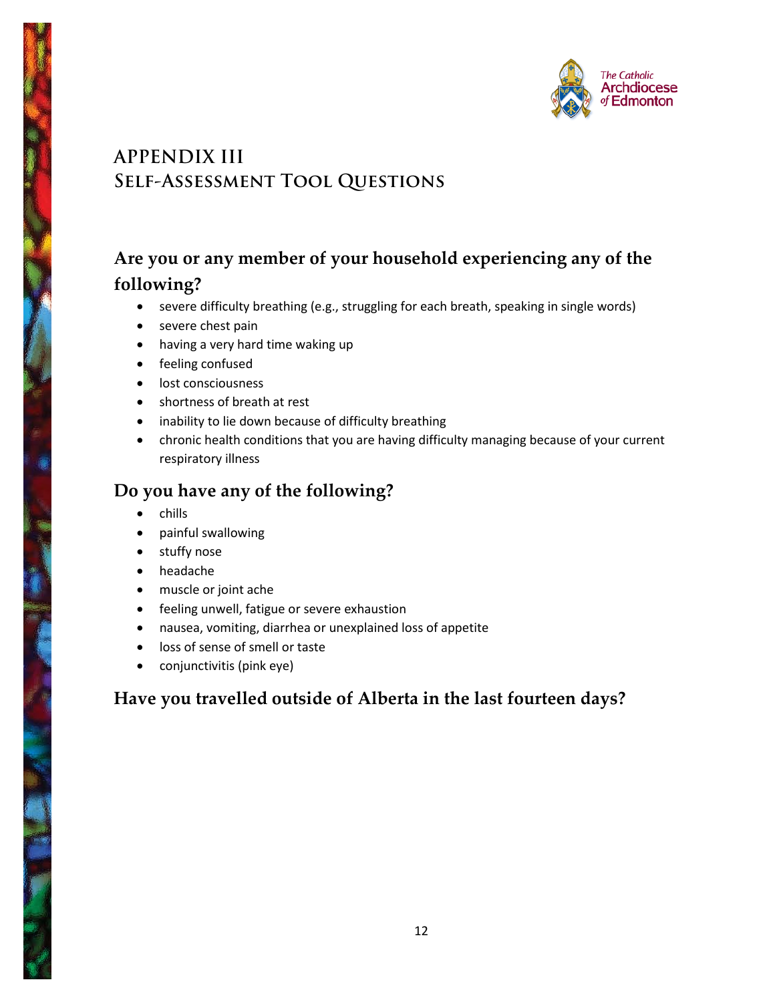

# **APPENDIX III Self-Assessment Tool Questions**

## **Are you or any member of your household experiencing any of the following?**

- severe difficulty breathing (e.g., struggling for each breath, speaking in single words)
- severe chest pain
- having a very hard time waking up
- feeling confused
- lost consciousness
- shortness of breath at rest
- inability to lie down because of difficulty breathing
- chronic health conditions that you are having difficulty managing because of your current respiratory illness

## **Do you have any of the following?**

- chills
- painful swallowing
- stuffy nose
- headache
- muscle or joint ache
- feeling unwell, fatigue or severe exhaustion
- nausea, vomiting, diarrhea or unexplained loss of appetite
- loss of sense of smell or taste
- conjunctivitis (pink eye)

## **Have you travelled outside of Alberta in the last fourteen days?**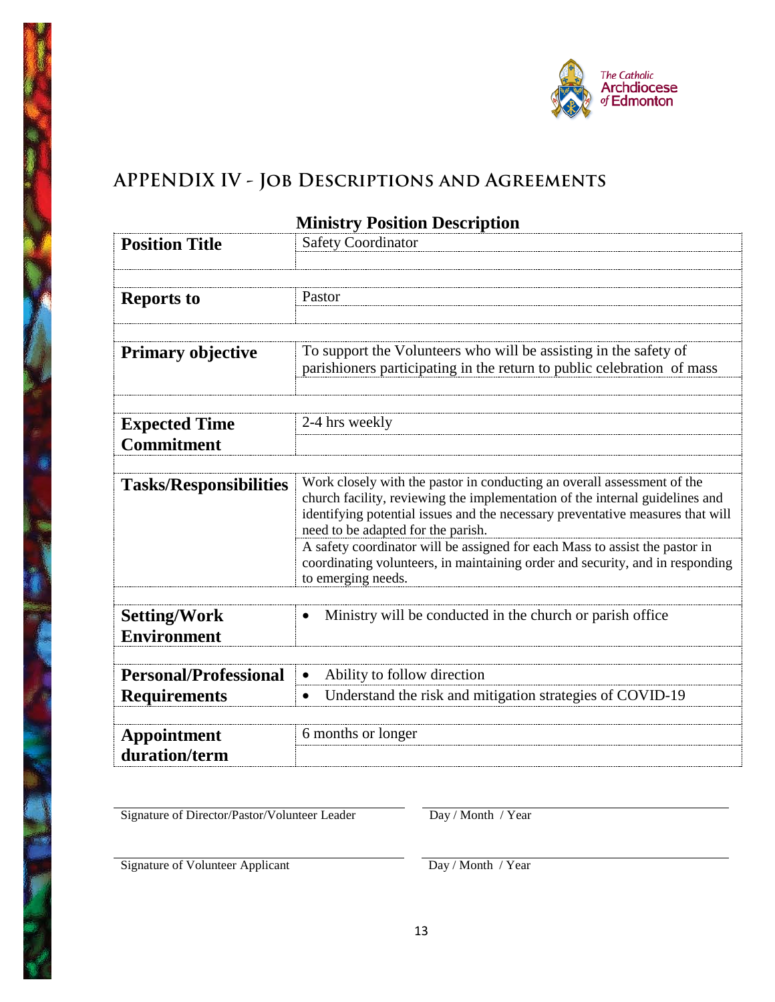

# **APPENDIX IV - Job Descriptions and Agreements**

| <b>Position Title</b>         | <b>Safety Coordinator</b>                                                                                                                                    |  |  |
|-------------------------------|--------------------------------------------------------------------------------------------------------------------------------------------------------------|--|--|
|                               |                                                                                                                                                              |  |  |
|                               | Pastor                                                                                                                                                       |  |  |
| <b>Reports to</b>             |                                                                                                                                                              |  |  |
|                               |                                                                                                                                                              |  |  |
| <b>Primary objective</b>      | To support the Volunteers who will be assisting in the safety of                                                                                             |  |  |
|                               | parishioners participating in the return to public celebration of mass                                                                                       |  |  |
|                               |                                                                                                                                                              |  |  |
|                               |                                                                                                                                                              |  |  |
| <b>Expected Time</b>          | 2-4 hrs weekly                                                                                                                                               |  |  |
| <b>Commitment</b>             |                                                                                                                                                              |  |  |
|                               | Work closely with the pastor in conducting an overall assessment of the                                                                                      |  |  |
| <b>Tasks/Responsibilities</b> | church facility, reviewing the implementation of the internal guidelines and                                                                                 |  |  |
|                               | identifying potential issues and the necessary preventative measures that will                                                                               |  |  |
|                               | need to be adapted for the parish.                                                                                                                           |  |  |
|                               | A safety coordinator will be assigned for each Mass to assist the pastor in<br>coordinating volunteers, in maintaining order and security, and in responding |  |  |
|                               | to emerging needs.                                                                                                                                           |  |  |
|                               |                                                                                                                                                              |  |  |
| <b>Setting/Work</b>           | Ministry will be conducted in the church or parish office                                                                                                    |  |  |
| <b>Environment</b>            |                                                                                                                                                              |  |  |
|                               |                                                                                                                                                              |  |  |
| <b>Personal/Professional</b>  | Ability to follow direction                                                                                                                                  |  |  |
| <b>Requirements</b>           | Understand the risk and mitigation strategies of COVID-19<br>$\bullet$                                                                                       |  |  |
|                               |                                                                                                                                                              |  |  |
| <b>Appointment</b>            | 6 months or longer                                                                                                                                           |  |  |
| duration/term                 |                                                                                                                                                              |  |  |

## **Ministry Position Description**

Signature of Director/Pastor/Volunteer Leader Day / Month / Year

Signature of Volunteer Applicant Day / Month / Year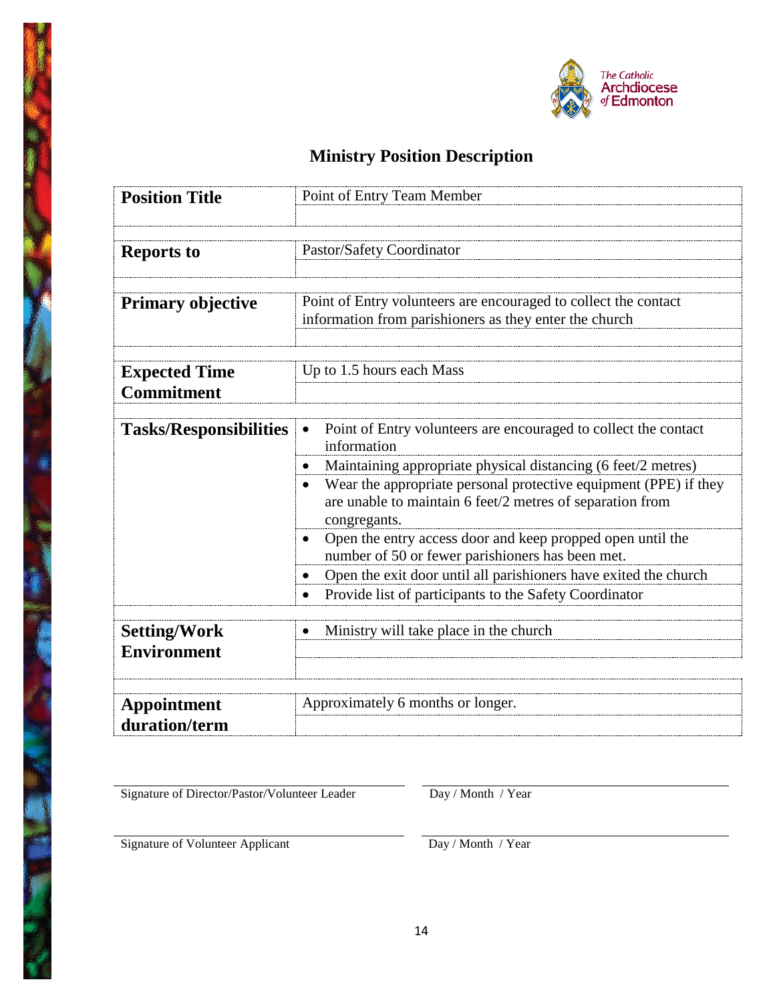

# **Ministry Position Description**

| <b>Position Title</b>                     | Point of Entry Team Member                                                                                                                    |  |  |
|-------------------------------------------|-----------------------------------------------------------------------------------------------------------------------------------------------|--|--|
|                                           |                                                                                                                                               |  |  |
|                                           |                                                                                                                                               |  |  |
| <b>Reports to</b>                         | Pastor/Safety Coordinator                                                                                                                     |  |  |
|                                           |                                                                                                                                               |  |  |
| <b>Primary objective</b>                  | Point of Entry volunteers are encouraged to collect the contact                                                                               |  |  |
|                                           | information from parishioners as they enter the church                                                                                        |  |  |
|                                           |                                                                                                                                               |  |  |
|                                           | Up to 1.5 hours each Mass                                                                                                                     |  |  |
| <b>Expected Time</b><br><b>Commitment</b> |                                                                                                                                               |  |  |
|                                           |                                                                                                                                               |  |  |
| <b>Tasks/Responsibilities</b>             | Point of Entry volunteers are encouraged to collect the contact<br>information                                                                |  |  |
|                                           | Maintaining appropriate physical distancing (6 feet/2 metres)                                                                                 |  |  |
|                                           | Wear the appropriate personal protective equipment (PPE) if they<br>are unable to maintain 6 feet/2 metres of separation from<br>congregants. |  |  |
|                                           | Open the entry access door and keep propped open until the<br>number of 50 or fewer parishioners has been met.                                |  |  |
|                                           | Open the exit door until all parishioners have exited the church                                                                              |  |  |
|                                           | Provide list of participants to the Safety Coordinator<br>$\bullet$                                                                           |  |  |
|                                           |                                                                                                                                               |  |  |
| <b>Setting/Work</b>                       | Ministry will take place in the church                                                                                                        |  |  |
| <b>Environment</b>                        |                                                                                                                                               |  |  |
|                                           |                                                                                                                                               |  |  |
|                                           | Approximately 6 months or longer.                                                                                                             |  |  |
| <b>Appointment</b><br>duration/term       |                                                                                                                                               |  |  |

Signature of Director/Pastor/Volunteer Leader Day / Month / Year

Signature of Volunteer Applicant Day / Month / Year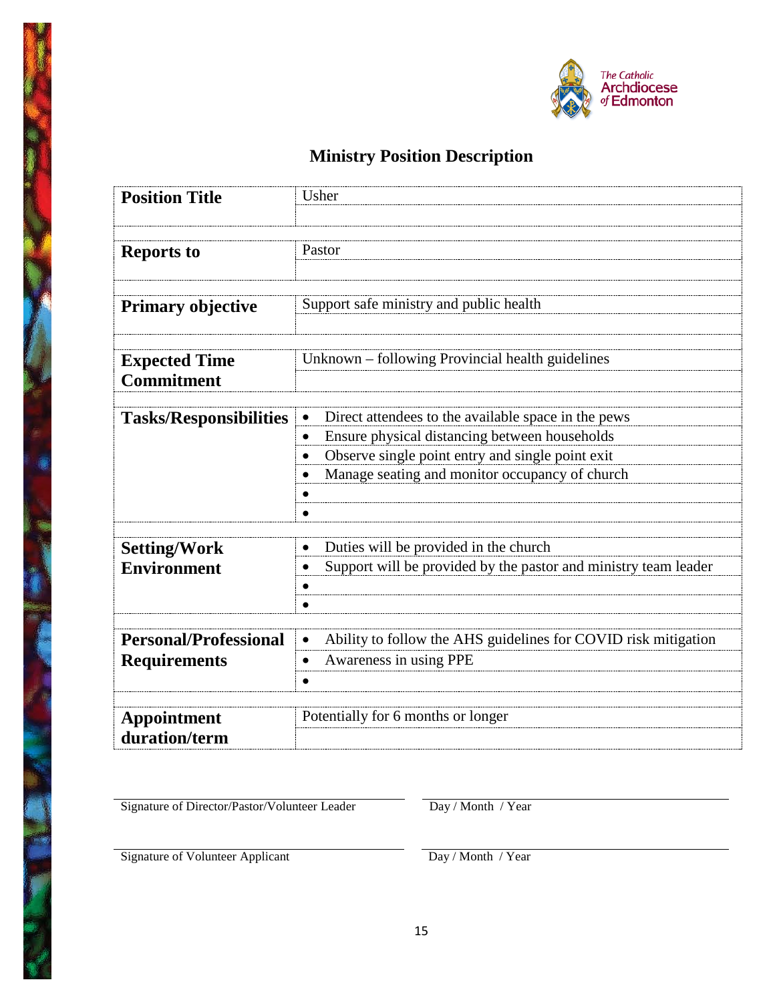

# **Ministry Position Description**

| <b>Position Title</b>                     | Usher                                                                       |  |  |
|-------------------------------------------|-----------------------------------------------------------------------------|--|--|
|                                           |                                                                             |  |  |
|                                           |                                                                             |  |  |
| <b>Reports to</b>                         | Pastor                                                                      |  |  |
|                                           |                                                                             |  |  |
|                                           |                                                                             |  |  |
| <b>Primary objective</b>                  | Support safe ministry and public health                                     |  |  |
|                                           |                                                                             |  |  |
|                                           | Unknown – following Provincial health guidelines                            |  |  |
| <b>Expected Time</b><br><b>Commitment</b> |                                                                             |  |  |
|                                           |                                                                             |  |  |
| <b>Tasks/Responsibilities</b>             | Direct attendees to the available space in the pews                         |  |  |
|                                           | Ensure physical distancing between households                               |  |  |
|                                           | Observe single point entry and single point exit                            |  |  |
|                                           | Manage seating and monitor occupancy of church                              |  |  |
|                                           |                                                                             |  |  |
|                                           |                                                                             |  |  |
|                                           |                                                                             |  |  |
| <b>Setting/Work</b>                       | Duties will be provided in the church                                       |  |  |
| <b>Environment</b>                        | Support will be provided by the pastor and ministry team leader             |  |  |
|                                           |                                                                             |  |  |
|                                           |                                                                             |  |  |
|                                           |                                                                             |  |  |
| <b>Personal/Professional</b>              | Ability to follow the AHS guidelines for COVID risk mitigation<br>$\bullet$ |  |  |
| <b>Requirements</b>                       | Awareness in using PPE                                                      |  |  |
|                                           |                                                                             |  |  |
|                                           |                                                                             |  |  |
| <b>Appointment</b>                        | Potentially for 6 months or longer                                          |  |  |
| duration/term                             |                                                                             |  |  |
|                                           |                                                                             |  |  |

Signature of Director/Pastor/Volunteer Leader Day / Month / Year

Signature of Volunteer Applicant Day / Month / Year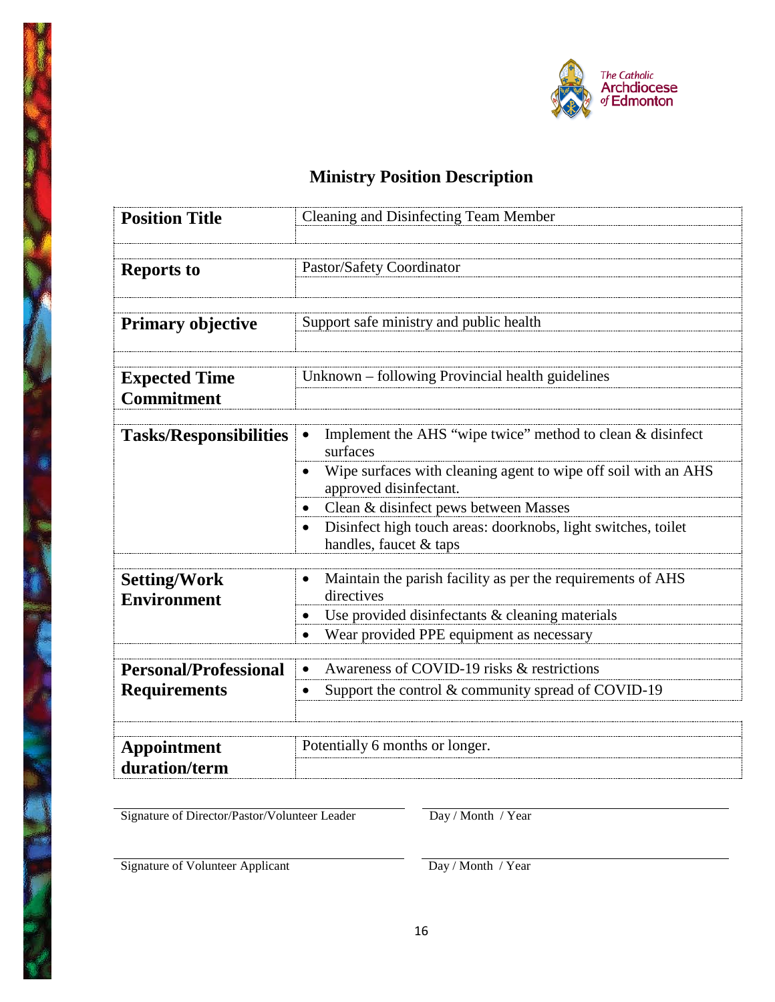

# **Ministry Position Description**

| <b>Position Title</b>                     | Cleaning and Disinfecting Team Member                                                                 |  |  |
|-------------------------------------------|-------------------------------------------------------------------------------------------------------|--|--|
|                                           |                                                                                                       |  |  |
|                                           |                                                                                                       |  |  |
| <b>Reports to</b>                         | Pastor/Safety Coordinator                                                                             |  |  |
|                                           |                                                                                                       |  |  |
| <b>Primary objective</b>                  | Support safe ministry and public health                                                               |  |  |
|                                           |                                                                                                       |  |  |
|                                           |                                                                                                       |  |  |
| <b>Expected Time</b>                      | Unknown – following Provincial health guidelines                                                      |  |  |
| <b>Commitment</b>                         |                                                                                                       |  |  |
|                                           |                                                                                                       |  |  |
| <b>Tasks/Responsibilities</b>             | Implement the AHS "wipe twice" method to clean & disinfect<br>$\bullet$<br>surfaces                   |  |  |
|                                           | Wipe surfaces with cleaning agent to wipe off soil with an AHS<br>$\bullet$<br>approved disinfectant. |  |  |
|                                           | Clean & disinfect pews between Masses                                                                 |  |  |
|                                           | Disinfect high touch areas: doorknobs, light switches, toilet<br>handles, faucet & taps               |  |  |
|                                           |                                                                                                       |  |  |
| <b>Setting/Work</b><br><b>Environment</b> | Maintain the parish facility as per the requirements of AHS<br>$\bullet$<br>directives                |  |  |
|                                           | Use provided disinfectants & cleaning materials                                                       |  |  |
|                                           | Wear provided PPE equipment as necessary<br>$\bullet$                                                 |  |  |
|                                           |                                                                                                       |  |  |
| <b>Personal/Professional</b>              | Awareness of COVID-19 risks & restrictions                                                            |  |  |
| <b>Requirements</b>                       | Support the control & community spread of COVID-19                                                    |  |  |
|                                           |                                                                                                       |  |  |
|                                           |                                                                                                       |  |  |
| <b>Appointment</b>                        | Potentially 6 months or longer.                                                                       |  |  |
| duration/term                             |                                                                                                       |  |  |

Signature of Director/Pastor/Volunteer Leader Day / Month / Year

Signature of Volunteer Applicant Day / Month / Year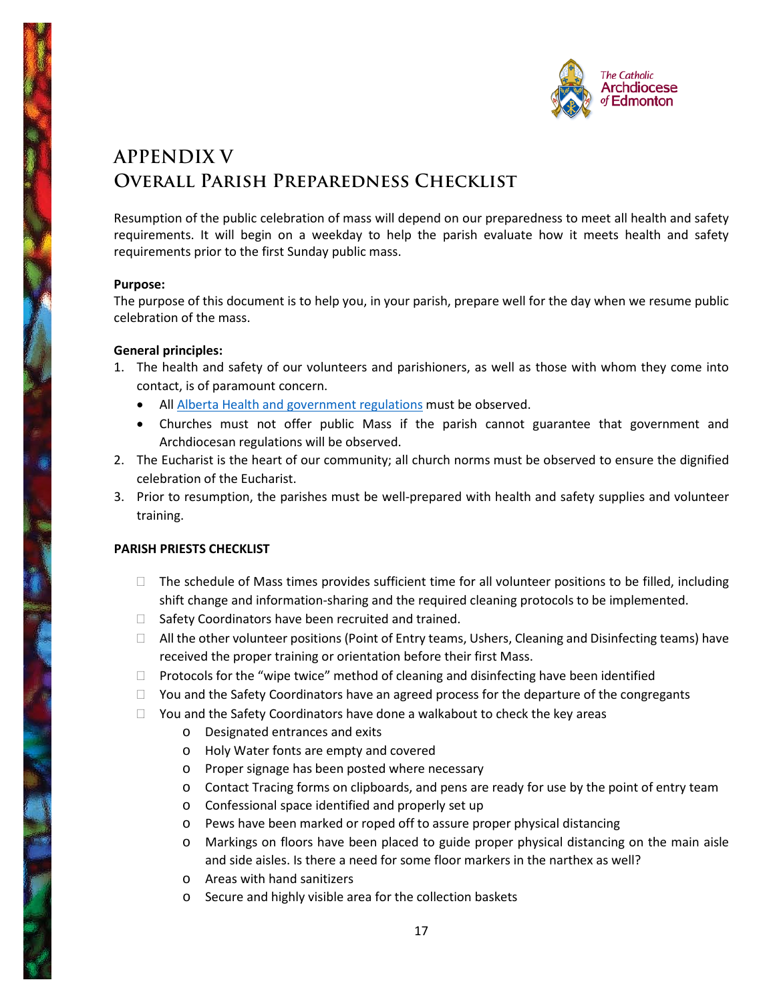

# **APPENDIX V Overall Parish Preparedness Checklist**

Resumption of the public celebration of mass will depend on our preparedness to meet all health and safety requirements. It will begin on a weekday to help the parish evaluate how it meets health and safety requirements prior to the first Sunday public mass.

### **Purpose:**

The purpose of this document is to help you, in your parish, prepare well for the day when we resume public celebration of the mass.

### **General principles:**

- 1. The health and safety of our volunteers and parishioners, as well as those with whom they come into contact, is of paramount concern.
	- All [Alberta Health and government regulations](https://www.alberta.ca/assets/documents/covid-19-relaunch-guidance-places-of-worship.pdf) must be observed.
	- Churches must not offer public Mass if the parish cannot guarantee that government and Archdiocesan regulations will be observed.
- 2. The Eucharist is the heart of our community; all church norms must be observed to ensure the dignified celebration of the Eucharist.
- 3. Prior to resumption, the parishes must be well-prepared with health and safety supplies and volunteer training.

### **PARISH PRIESTS CHECKLIST**

- $\Box$  The schedule of Mass times provides sufficient time for all volunteer positions to be filled, including shift change and information-sharing and the required cleaning protocols to be implemented.
- $\Box$  Safety Coordinators have been recruited and trained.
- $\Box$  All the other volunteer positions (Point of Entry teams, Ushers, Cleaning and Disinfecting teams) have received the proper training or orientation before their first Mass.
- $\Box$  Protocols for the "wipe twice" method of cleaning and disinfecting have been identified
- $\Box$  You and the Safety Coordinators have an agreed process for the departure of the congregants
- $\Box$  You and the Safety Coordinators have done a walkabout to check the key areas
	- o Designated entrances and exits
	- o Holy Water fonts are empty and covered
	- o Proper signage has been posted where necessary
	- o Contact Tracing forms on clipboards, and pens are ready for use by the point of entry team
	- o Confessional space identified and properly set up
	- o Pews have been marked or roped off to assure proper physical distancing
	- o Markings on floors have been placed to guide proper physical distancing on the main aisle and side aisles. Is there a need for some floor markers in the narthex as well?
	- o Areas with hand sanitizers
	- o Secure and highly visible area for the collection baskets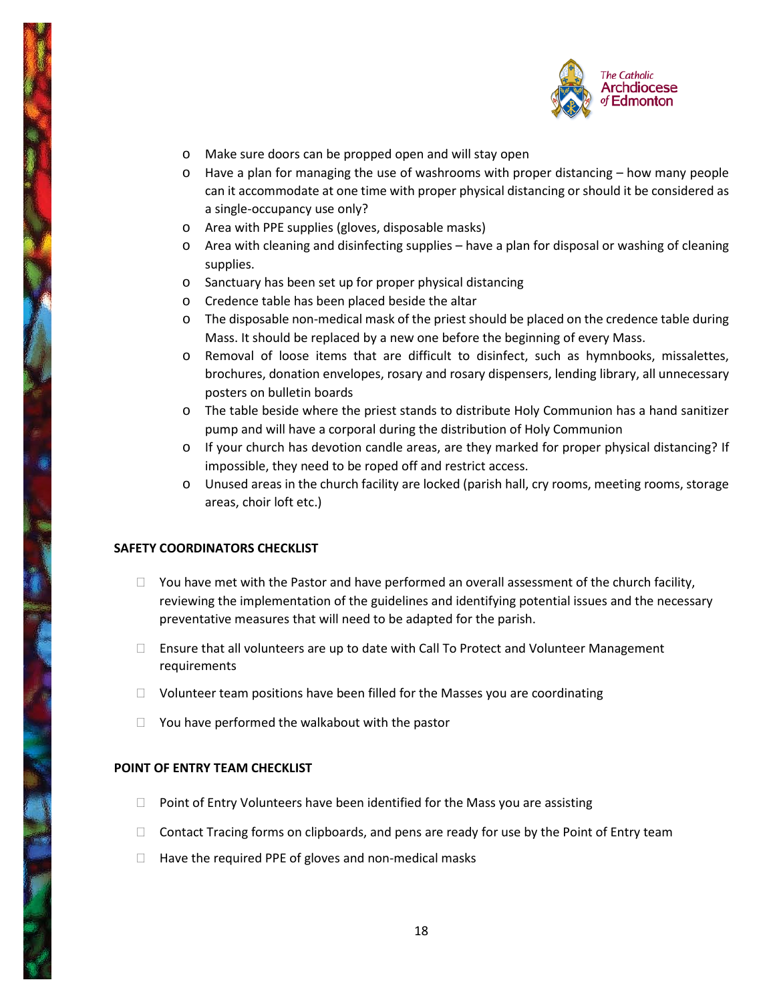

- o Make sure doors can be propped open and will stay open
- o Have a plan for managing the use of washrooms with proper distancing how many people can it accommodate at one time with proper physical distancing or should it be considered as a single-occupancy use only?
- o Area with PPE supplies (gloves, disposable masks)
- $\circ$  Area with cleaning and disinfecting supplies have a plan for disposal or washing of cleaning supplies.
- o Sanctuary has been set up for proper physical distancing
- o Credence table has been placed beside the altar
- o The disposable non-medical mask of the priest should be placed on the credence table during Mass. It should be replaced by a new one before the beginning of every Mass.
- o Removal of loose items that are difficult to disinfect, such as hymnbooks, missalettes, brochures, donation envelopes, rosary and rosary dispensers, lending library, all unnecessary posters on bulletin boards
- o The table beside where the priest stands to distribute Holy Communion has a hand sanitizer pump and will have a corporal during the distribution of Holy Communion
- o If your church has devotion candle areas, are they marked for proper physical distancing? If impossible, they need to be roped off and restrict access.
- o Unused areas in the church facility are locked (parish hall, cry rooms, meeting rooms, storage areas, choir loft etc.)

### **SAFETY COORDINATORS CHECKLIST**

- $\Box$  You have met with the Pastor and have performed an overall assessment of the church facility, reviewing the implementation of the guidelines and identifying potential issues and the necessary preventative measures that will need to be adapted for the parish.
- $\Box$  Ensure that all volunteers are up to date with Call To Protect and Volunteer Management requirements
- $\Box$  Volunteer team positions have been filled for the Masses you are coordinating
- $\Box$  You have performed the walkabout with the pastor

### **POINT OF ENTRY TEAM CHECKLIST**

- $\Box$  Point of Entry Volunteers have been identified for the Mass you are assisting
- $\Box$  Contact Tracing forms on clipboards, and pens are ready for use by the Point of Entry team
- $\Box$  Have the required PPE of gloves and non-medical masks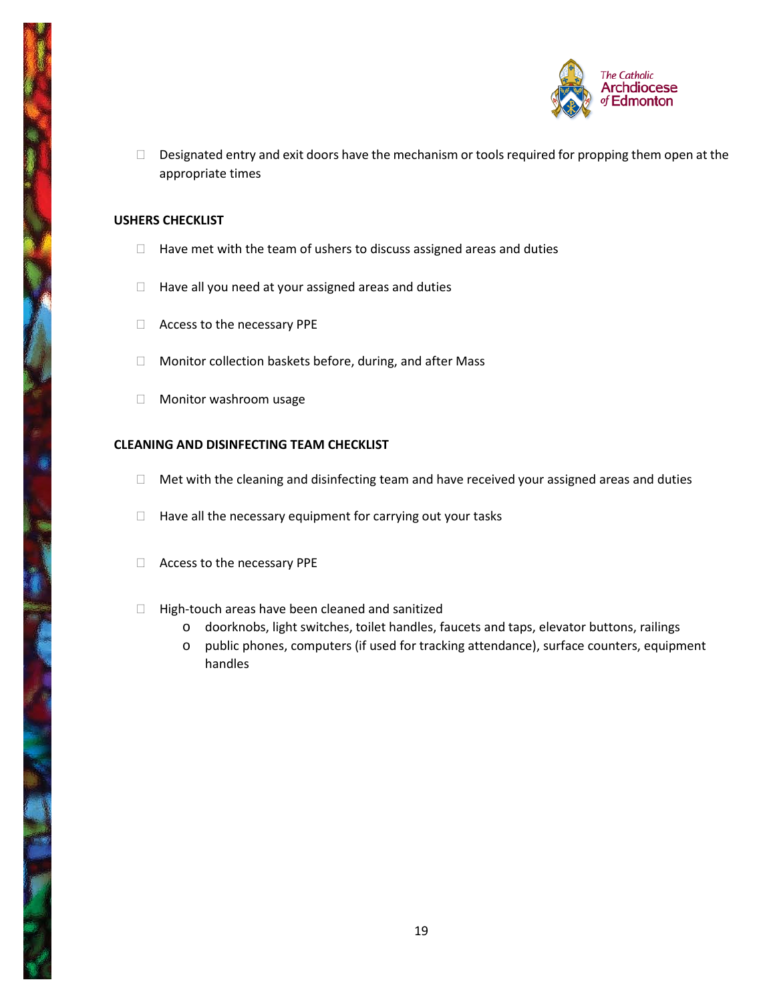

Designated entry and exit doors have the mechanism or tools required for propping them open at the appropriate times

### **USHERS CHECKLIST**

- $\Box$  Have met with the team of ushers to discuss assigned areas and duties
- $\Box$  Have all you need at your assigned areas and duties
- □ Access to the necessary PPE
- □ Monitor collection baskets before, during, and after Mass
- **Nonitor washroom usage**

### **CLEANING AND DISINFECTING TEAM CHECKLIST**

- $\Box$  Met with the cleaning and disinfecting team and have received your assigned areas and duties
- $\Box$  Have all the necessary equipment for carrying out your tasks
- Access to the necessary PPE
- $\Box$  High-touch areas have been cleaned and sanitized
	- o doorknobs, light switches, toilet handles, faucets and taps, elevator buttons, railings
	- o public phones, computers (if used for tracking attendance), surface counters, equipment handles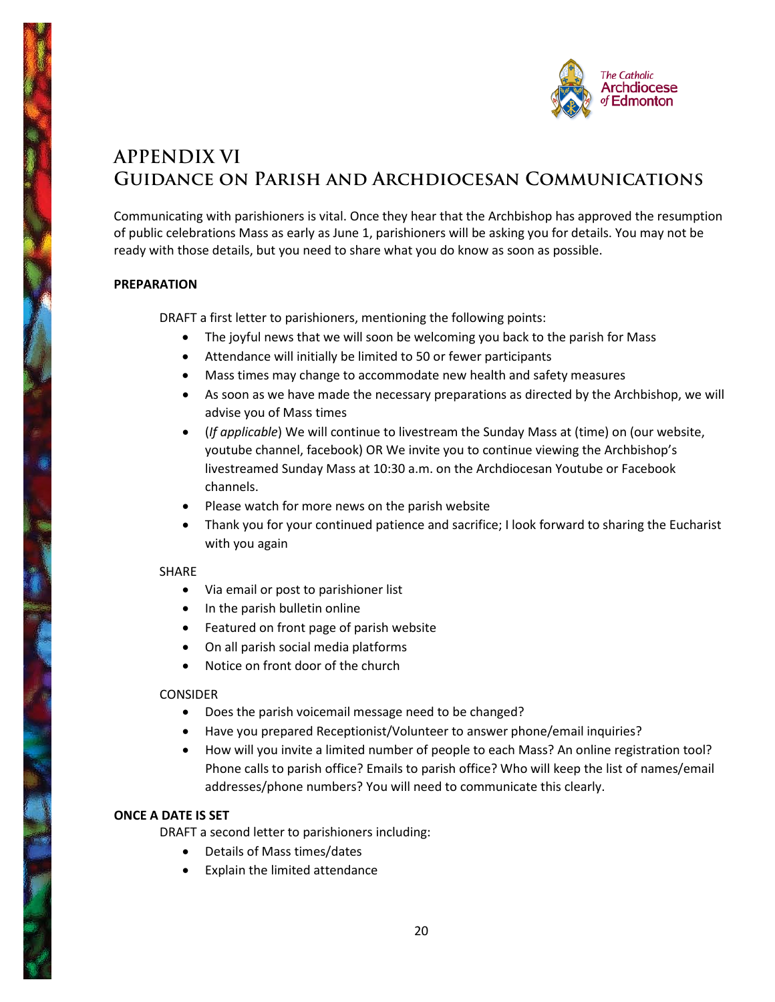

# **APPENDIX VI Guidance on Parish and Archdiocesan Communications**

Communicating with parishioners is vital. Once they hear that the Archbishop has approved the resumption of public celebrations Mass as early as June 1, parishioners will be asking you for details. You may not be ready with those details, but you need to share what you do know as soon as possible.

### **PREPARATION**

DRAFT a first letter to parishioners, mentioning the following points:

- The joyful news that we will soon be welcoming you back to the parish for Mass
- Attendance will initially be limited to 50 or fewer participants
- Mass times may change to accommodate new health and safety measures
- As soon as we have made the necessary preparations as directed by the Archbishop, we will advise you of Mass times
- (*If applicable*) We will continue to livestream the Sunday Mass at (time) on (our website, youtube channel, facebook) OR We invite you to continue viewing the Archbishop's livestreamed Sunday Mass at 10:30 a.m. on the Archdiocesan Youtube or Facebook channels.
- Please watch for more news on the parish website
- Thank you for your continued patience and sacrifice; I look forward to sharing the Eucharist with you again

### SHARE

- Via email or post to parishioner list
- In the parish bulletin online
- Featured on front page of parish website
- On all parish social media platforms
- Notice on front door of the church

### CONSIDER

- Does the parish voicemail message need to be changed?
- Have you prepared Receptionist/Volunteer to answer phone/email inquiries?
- How will you invite a limited number of people to each Mass? An online registration tool? Phone calls to parish office? Emails to parish office? Who will keep the list of names/email addresses/phone numbers? You will need to communicate this clearly.

### **ONCE A DATE IS SET**

DRAFT a second letter to parishioners including:

- Details of Mass times/dates
- Explain the limited attendance